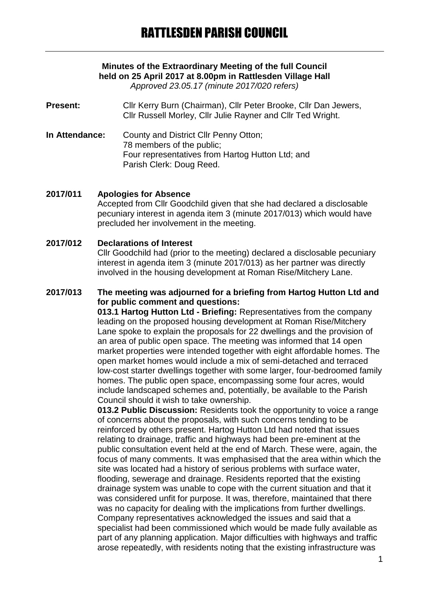# **Minutes of the Extraordinary Meeting of the full Council held on 25 April 2017 at 8.00pm in Rattlesden Village Hall**

*Approved 23.05.17 (minute 2017/020 refers)*

**Present:** Cllr Kerry Burn (Chairman), Cllr Peter Brooke, Cllr Dan Jewers, Cllr Russell Morley, Cllr Julie Rayner and Cllr Ted Wright.

**In Attendance:** County and District Cllr Penny Otton; 78 members of the public; Four representatives from Hartog Hutton Ltd; and Parish Clerk: Doug Reed.

### **2017/011 Apologies for Absence**

Accepted from Cllr Goodchild given that she had declared a disclosable pecuniary interest in agenda item 3 (minute 2017/013) which would have precluded her involvement in the meeting.

#### **2017/012 Declarations of Interest**

Cllr Goodchild had (prior to the meeting) declared a disclosable pecuniary interest in agenda item 3 (minute 2017/013) as her partner was directly involved in the housing development at Roman Rise/Mitchery Lane.

## **2017/013 The meeting was adjourned for a briefing from Hartog Hutton Ltd and for public comment and questions:**

**013.1 Hartog Hutton Ltd - Briefing:** Representatives from the company leading on the proposed housing development at Roman Rise/Mitchery Lane spoke to explain the proposals for 22 dwellings and the provision of an area of public open space. The meeting was informed that 14 open market properties were intended together with eight affordable homes. The open market homes would include a mix of semi-detached and terraced low-cost starter dwellings together with some larger, four-bedroomed family homes. The public open space, encompassing some four acres, would include landscaped schemes and, potentially, be available to the Parish Council should it wish to take ownership.

**013.2 Public Discussion:** Residents took the opportunity to voice a range of concerns about the proposals, with such concerns tending to be reinforced by others present. Hartog Hutton Ltd had noted that issues relating to drainage, traffic and highways had been pre-eminent at the public consultation event held at the end of March. These were, again, the focus of many comments. It was emphasised that the area within which the site was located had a history of serious problems with surface water, flooding, sewerage and drainage. Residents reported that the existing drainage system was unable to cope with the current situation and that it was considered unfit for purpose. It was, therefore, maintained that there was no capacity for dealing with the implications from further dwellings. Company representatives acknowledged the issues and said that a specialist had been commissioned which would be made fully available as part of any planning application. Major difficulties with highways and traffic arose repeatedly, with residents noting that the existing infrastructure was